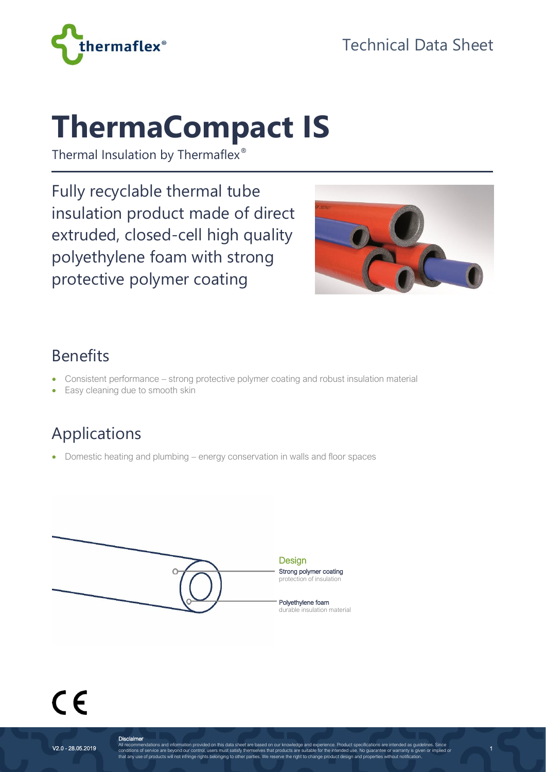

# **ThermaCompact IS**

Thermal Insulation by Thermaflex®

Fully recyclable thermal tube insulation product made of direct extruded, closed-cell high quality polyethylene foam with strong protective polymer coating



1

#### Benefits

- Consistent performance strong protective polymer coating and robust insulation material
- Easy cleaning due to smooth skin

### Applications

• Domestic heating and plumbing – energy conservation in walls and floor spaces



**Disclaimer**